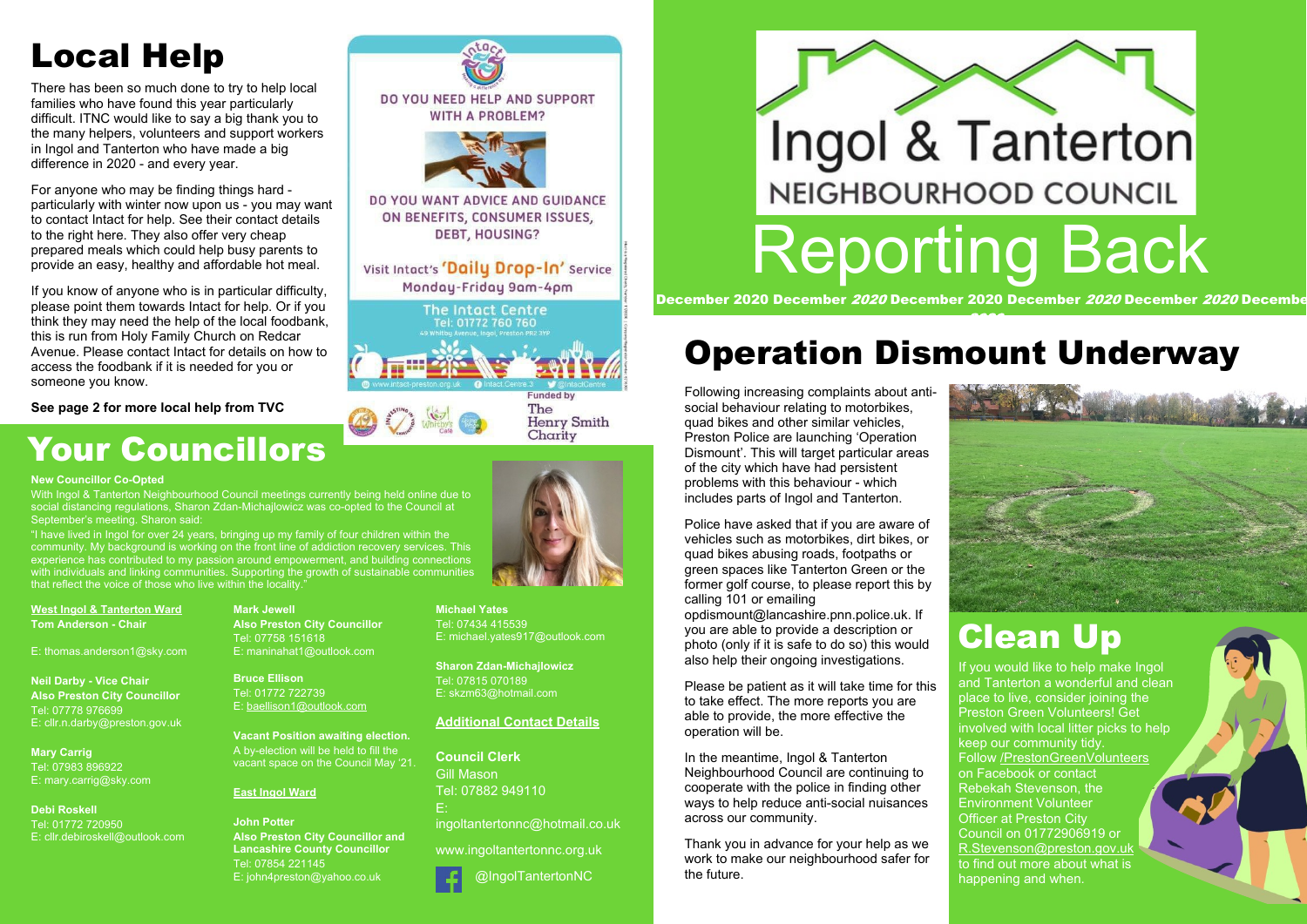

## **Your Councillors**

**West Ingol & Tanterton Ward Tom Anderson - Chair**

E: thomas.anderson1@sky.com

**Neil Darby - Vice Chair Also Preston City Councillor** Tel: 07778 976699 E: cllr.n.darby@preston.gov.uk

**Mary Carrig** Tel: 07983 896922 E: mary.carrig@sky.com

### **Debi Roskell**

Tel: 01772 720950 E: cllr.debiroskell@outlook.com **Mark Jewell Also Preston City Councillor** Tel: 07758 151618 E: maninahat1@outlook.com

**Bruce Ellison** Tel: 01772 722739 E: baellison1@outlook.com

**Vacant Position awaiting election.** A by-election will be held to fill the vacant space on the Council May '21.

With Ingol & Tanterton Neighbourhood Council meetings currently being held online due to social distancing regulations, Sharon Zdan-Michajlowicz was co-opted to the Council at September's meeting. Sharon said:

#### **East Ingol Ward**

**John Potter Also Preston City Councillor and Lancashire County Councillor** Tel: 07854 221145 E: john4preston@yahoo.co.uk

**WITH A PROBLEM?** 

DO YOU NEED HELP AND SUPPORT

DO YOU WANT ADVICE AND GUIDANCE ON BENEFITS, CONSUMER ISSUES, **DEBT, HOUSING?** 

Visit Intact's 'Daily Drop-In' Service Monday-Friday 9am-4pm



The **Henry Smith** Charity



**Michael Yates**

Tel: 07434 415539 E: michael.yates917@outlook.com

**Sharon Zdan-Michajlowicz** Tel: 07815 070189 E: skzm63@hotmail.com

#### **Additional Contact Details**

**Council Clerk** Gill Mason Tel: 07882 949110 E:

ingoltantertonnc@hotmail.co.uk

www.ingoltantertonnc.org.uk

@IngolTantertonNC

#### **New Councillor Co-Opted**

"I have lived in Ingol for over 24 years, bringing up my family of four children within the community. My background is working on the front line of addiction recovery services. This experience has contributed to my passion around empowerment, and building connections with individuals and linking communities. Supporting the growth of sustainable communities that reflect the voice of those who live within the locality."

## **Operation Dismount Underway**

### **Clean Up**

Following increasing complaints about antisocial behaviour relating to motorbikes, quad bikes and other similar vehicles, Preston Police are launching 'Operation Dismount'. This will target particular areas of the city which have had persistent problems with this behaviour - which includes parts of Ingol and Tanterton.

Police have asked that if you are aware of vehicles such as motorbikes, dirt bikes, or quad bikes abusing roads, footpaths or green spaces like Tanterton Green or the former golf course, to please report this by calling 101 or emailing

opdismount@lancashire.pnn.police.uk. If you are able to provide a description or photo (only if it is safe to do so) this would also help their ongoing investigations.

Please be patient as it will take time for this to take effect. The more reports you are able to provide, the more effective the operation will be.

In the meantime, Ingol & Tanterton Neighbourhood Council are continuing to cooperate with the police in finding other ways to help reduce anti-social nuisances across our community.

Thank you in advance for your help as we work to make our neighbourhood safer for the future.

If you would like to help make Ingol and Tanterton a wonderful and clean place to live, consider joining the Preston Green Volunteers! Get involved with local litter picks to help keep our community tidy. Follow /PrestonGreenVolunteers on Facebook or contact Rebekah Stevenson, the Environment Volunteer Officer at Preston City Council on 01772906919 or R.Stevenson@preston.gov.uk to find out more about what is happening and when.

## **Local Help**

There has been so much done to try to help local families who have found this year particularly difficult. ITNC would like to say a big thank you to the many helpers, volunteers and support workers in Ingol and Tanterton who have made a big difference in 2020 - and every year.

For anyone who may be finding things hard particularly with winter now upon us - you may want to contact Intact for help. See their contact details to the right here. They also offer very cheap prepared meals which could help busy parents to provide an easy, healthy and affordable hot meal.

If you know of anyone who is in particular difficulty, please point them towards Intact for help. Or if you think they may need the help of the local foodbank, this is run from Holy Family Church on Redcar Avenue. Please contact Intact for details on how to access the foodbank if it is needed for you or someone you know.

#### **See page 2 for more local help from TVC**